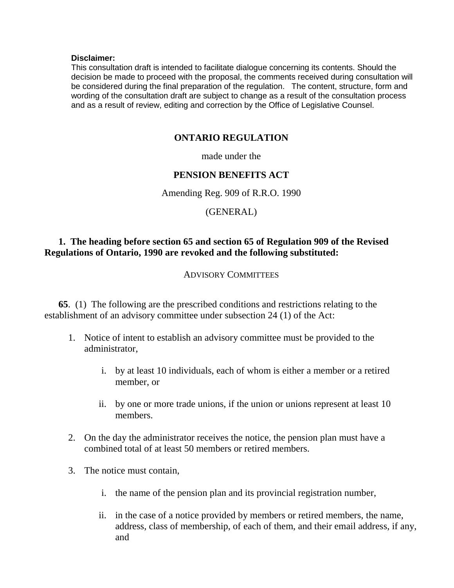#### **Disclaimer:**

This consultation draft is intended to facilitate dialogue concerning its contents. Should the decision be made to proceed with the proposal, the comments received during consultation will be considered during the final preparation of the regulation. The content, structure, form and wording of the consultation draft are subject to change as a result of the consultation process and as a result of review, editing and correction by the Office of Legislative Counsel.

#### **ONTARIO REGULATION**

made under the

## **PENSION BENEFITS ACT**

Amending Reg. 909 of R.R.O. 1990

## (GENERAL)

## **1. The heading before section 65 and section 65 of Regulation 909 of the Revised Regulations of Ontario, 1990 are revoked and the following substituted:**

#### ADVISORY COMMITTEES

**65**. (1) The following are the prescribed conditions and restrictions relating to the establishment of an advisory committee under subsection 24 (1) of the Act:

- 1. Notice of intent to establish an advisory committee must be provided to the administrator,
	- i. by at least 10 individuals, each of whom is either a member or a retired member, or
	- ii. by one or more trade unions, if the union or unions represent at least 10 members.
- 2. On the day the administrator receives the notice, the pension plan must have a combined total of at least 50 members or retired members.
- 3. The notice must contain,
	- i. the name of the pension plan and its provincial registration number,
	- ii. in the case of a notice provided by members or retired members, the name, address, class of membership, of each of them, and their email address, if any, and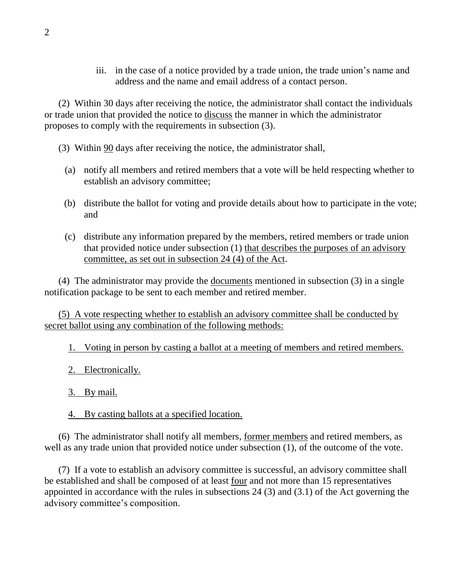iii. in the case of a notice provided by a trade union, the trade union's name and address and the name and email address of a contact person.

(2) Within 30 days after receiving the notice, the administrator shall contact the individuals or trade union that provided the notice to discuss the manner in which the administrator proposes to comply with the requirements in subsection (3).

- (3) Within 90 days after receiving the notice, the administrator shall,
	- (a) notify all members and retired members that a vote will be held respecting whether to establish an advisory committee;
	- (b) distribute the ballot for voting and provide details about how to participate in the vote; and
	- (c) distribute any information prepared by the members, retired members or trade union that provided notice under subsection (1) that describes the purposes of an advisory committee, as set out in subsection 24 (4) of the Act.

(4) The administrator may provide the documents mentioned in subsection (3) in a single notification package to be sent to each member and retired member.

(5) A vote respecting whether to establish an advisory committee shall be conducted by secret ballot using any combination of the following methods:

1. Voting in person by casting a ballot at a meeting of members and retired members.

- 2. Electronically.
- 3. By mail.
- 4. By casting ballots at a specified location.

(6) The administrator shall notify all members, former members and retired members, as well as any trade union that provided notice under subsection (1), of the outcome of the vote.

(7) If a vote to establish an advisory committee is successful, an advisory committee shall be established and shall be composed of at least four and not more than 15 representatives appointed in accordance with the rules in subsections 24 (3) and (3.1) of the Act governing the advisory committee's composition.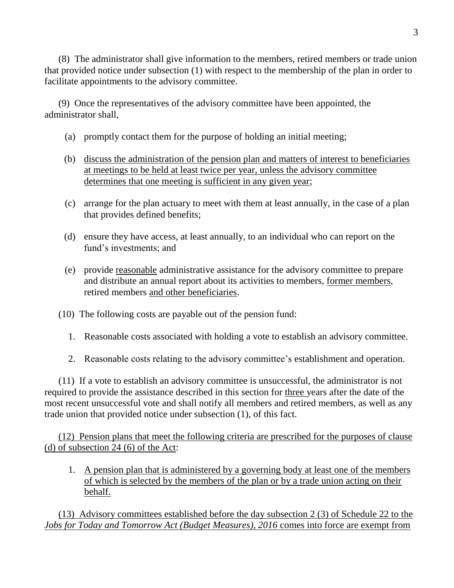(8) The administrator shall give information to the members, retired members or trade union that provided notice under subsection (1) with respect to the membership of the plan in order to facilitate appointments to the advisory committee.

(9) Once the representatives of the advisory committee have been appointed, the administrator shall,

- (a) promptly contact them for the purpose of holding an initial meeting;
- (b) discuss the administration of the pension plan and matters of interest to beneficiaries at meetings to be held at least twice per year, unless the advisory committee determines that one meeting is sufficient in any given year;
- (c) arrange for the plan actuary to meet with them at least annually, in the case of a plan that provides defined benefits;
- (d) ensure they have access, at least annually, to an individual who can report on the fund's investments; and
- (e) provide reasonable administrative assistance for the advisory committee to prepare and distribute an annual report about its activities to members, former members, retired members and other beneficiaries.
- (10) The following costs are payable out of the pension fund:
	- 1. Reasonable costs associated with holding a vote to establish an advisory committee.
	- 2. Reasonable costs relating to the advisory committee's establishment and operation.

(11) If a vote to establish an advisory committee is unsuccessful, the administrator is not required to provide the assistance described in this section for three years after the date of the most recent unsuccessful vote and shall notify all members and retired members, as well as any trade union that provided notice under subsection (1), of this fact.

(12) Pension plans that meet the following criteria are prescribed for the purposes of clause (d) of subsection  $24(6)$  of the Act:

1. A pension plan that is administered by a governing body at least one of the members of which is selected by the members of the plan or by a trade union acting on their behalf.

(13) Advisory committees established before the day subsection 2 (3) of Schedule 22 to the *Jobs for Today and Tomorrow Act (Budget Measures), 2016* comes into force are exempt from